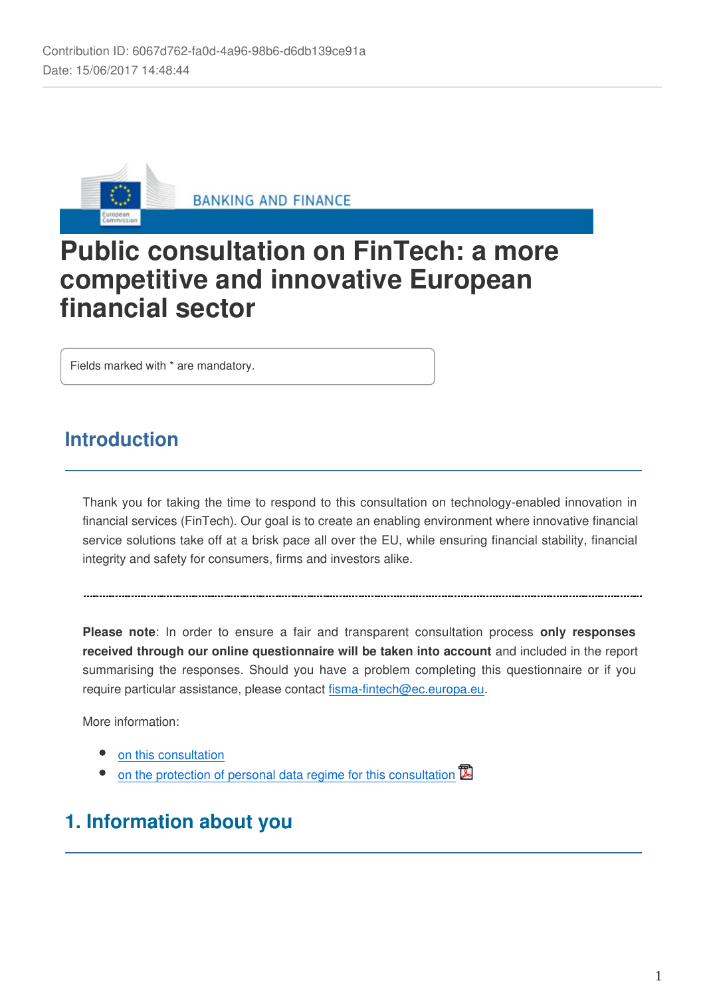

**BANKING AND FINANCE** 

# **Public consultation on FinTech: a more competitive and innovative European financial sector**

Fields marked with \* are mandatory.

## **Introduction**

Thank you for taking the time to respond to this consultation on technology-enabled innovation in financial services (FinTech). Our goal is to create an enabling environment where innovative financial service solutions take off at a brisk pace all over the EU, while ensuring financial stability, financial integrity and safety for consumers, firms and investors alike.

**Please note**: In order to ensure a fair and transparent consultation process **only responses received through our online questionnaire will be taken into account** and included in the report summarising the responses. Should you have a problem completing this questionnaire or if you require particular assistance, please contact fisma-fintech@ec.europa.eu.

More information:

- [on this consultation](http://ec.europa.eu/info/finance-consultations-2017-fintech_en)
- [on the protection of personal data regime for this consultation](https://ec.europa.eu/info/sites/info/files/2017-fintech-specific-privacy-statement_en.pdf)  $\mathbb{\overline{B}}$

## **1. Information about you**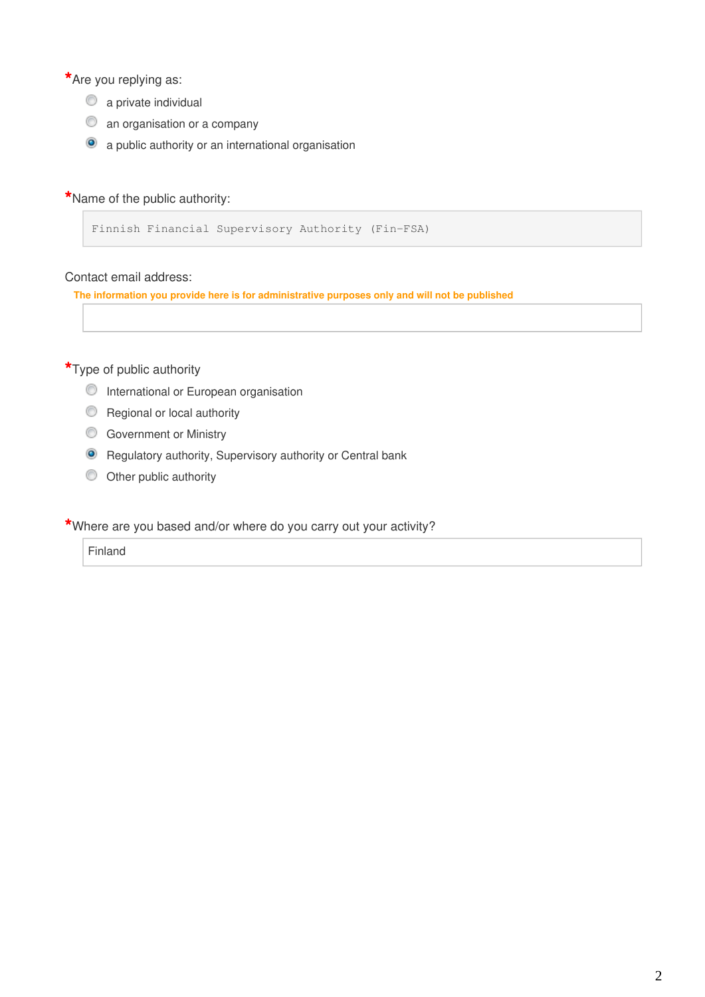**\***Are you replying as:

- $\bullet$  a private individual
- $\circledcirc$  an organisation or a company
- a public authority or an international organisation

#### **\***Name of the public authority:

```
Finnish Financial Supervisory Authority (Fin-FSA)
```
#### Contact email address:

**The information you provide here is for administrative purposes only and will not be published**

#### **\***Type of public authority

- **O** International or European organisation
- Regional or local authority
- **Government or Ministry**
- **O** Regulatory authority, Supervisory authority or Central bank
- $\circledcirc$  Other public authority

#### **\***Where are you based and/or where do you carry out your activity?

Finland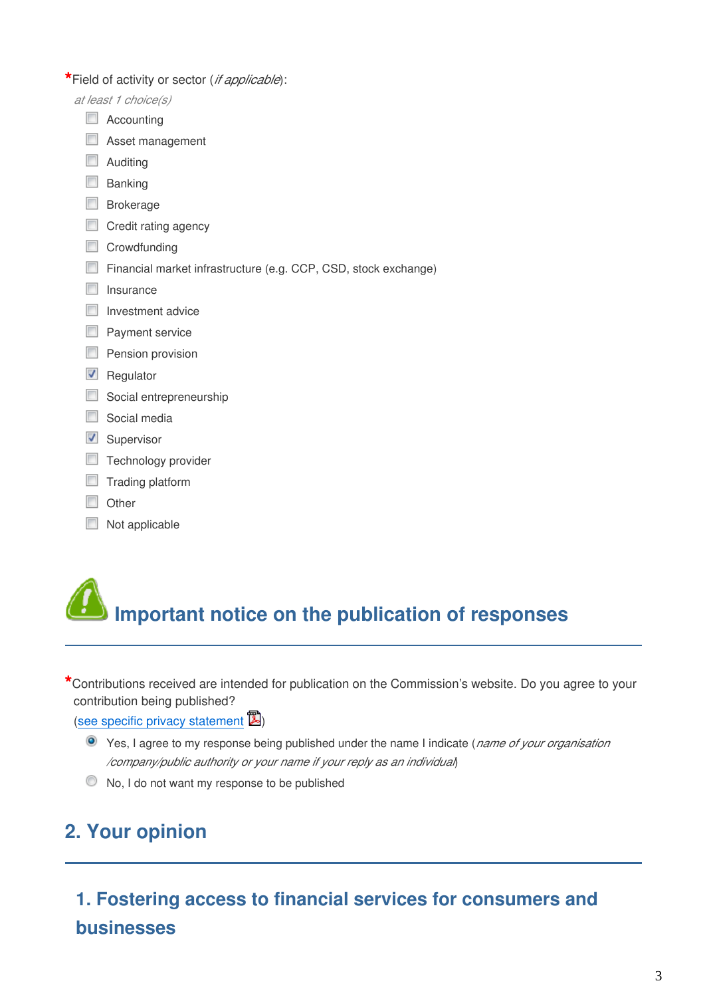**\***Field of activity or sector (*if applicable*):

- *at least 1 choice(s)*
	- Accounting
	- **Asset management**
	- **Auditing**
	- $\Box$  Banking
	- **Brokerage**
	- Credit rating agency
	- Crowdfunding
	- Financial market infrastructure (e.g. CCP, CSD, stock exchange)
	- $\Box$  Insurance
	- $\Box$  Investment advice
	- **Payment service**
	- $\Box$  Pension provision
	- $\blacksquare$  Regulator
	- Social entrepreneurship
	- Social media
	- **V** Supervisor
	- **Technology provider**
	- $\Box$  Trading platform
	- **Other**
	- Not applicable



**\***Contributions received are intended for publication on the Commission's website. Do you agree to your contribution being published?

([see specific privacy statement](https://ec.europa.eu/info/sites/info/files/2017-fintech-specific-privacy-statement_en.pdf)  $\mathbb{Z}$ )

- Yes, I agree to my response being published under the name I indicate (*name of your organisation /company/public authority or your name if your reply as an individual*)
- $\bullet$  No, I do not want my response to be published

# **2. Your opinion**

**1. Fostering access to financial services for consumers and businesses**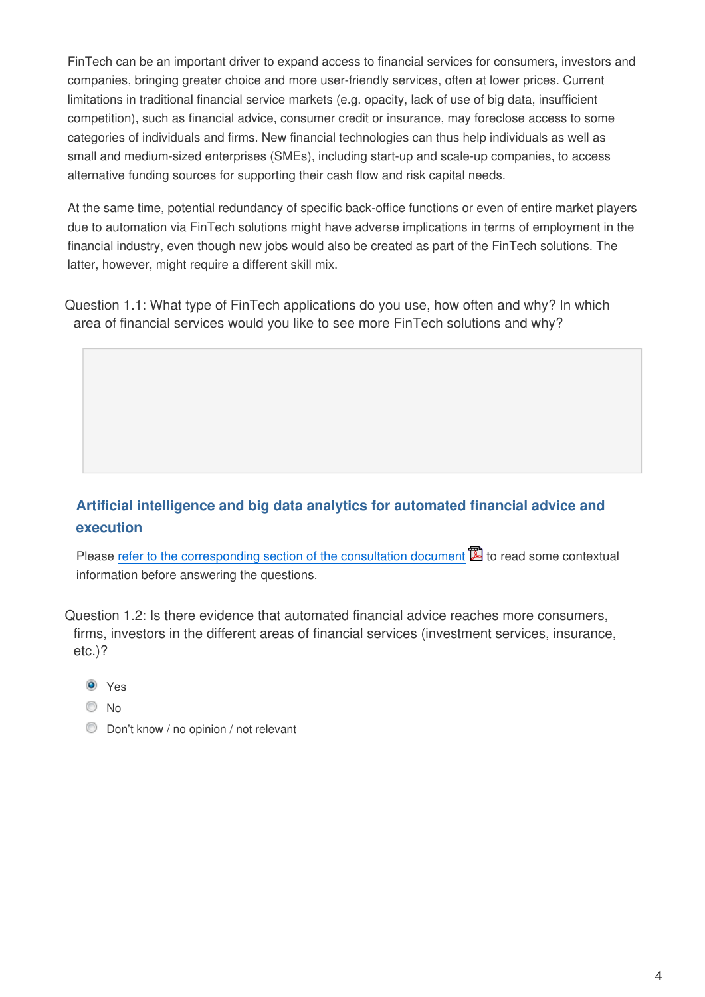FinTech can be an important driver to expand access to financial services for consumers, investors and companies, bringing greater choice and more user-friendly services, often at lower prices. Current limitations in traditional financial service markets (e.g. opacity, lack of use of big data, insufficient competition), such as financial advice, consumer credit or insurance, may foreclose access to some categories of individuals and firms. New financial technologies can thus help individuals as well as small and medium-sized enterprises (SMEs), including start-up and scale-up companies, to access alternative funding sources for supporting their cash flow and risk capital needs.

At the same time, potential redundancy of specific back-office functions or even of entire market players due to automation via FinTech solutions might have adverse implications in terms of employment in the financial industry, even though new jobs would also be created as part of the FinTech solutions. The latter, however, might require a different skill mix.

Question 1.1: What type of FinTech applications do you use, how often and why? In which area of financial services would you like to see more FinTech solutions and why?

## **Artificial intelligence and big data analytics for automated financial advice and execution**

Please [refer to the corresponding section of the consultation document](https://ec.europa.eu/info/sites/info/files/2017-fintech-consultation-document_en.pdf#artificial) **to** to read some contextual information before answering the questions.

Question 1.2: Is there evidence that automated financial advice reaches more consumers, firms, investors in the different areas of financial services (investment services, insurance, etc.)?

- **O** Yes
- O No
- Don't know / no opinion / not relevant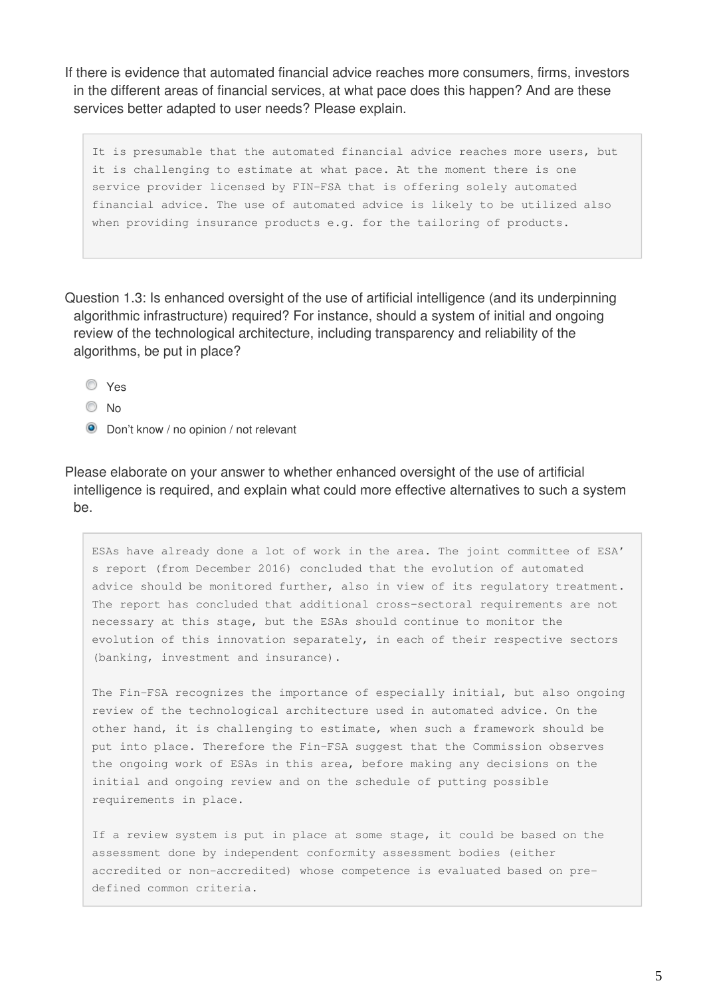If there is evidence that automated financial advice reaches more consumers, firms, investors in the different areas of financial services, at what pace does this happen? And are these services better adapted to user needs? Please explain.

It is presumable that the automated financial advice reaches more users, but it is challenging to estimate at what pace. At the moment there is one service provider licensed by FIN-FSA that is offering solely automated financial advice. The use of automated advice is likely to be utilized also when providing insurance products e.g. for the tailoring of products.

Question 1.3: Is enhanced oversight of the use of artificial intelligence (and its underpinning algorithmic infrastructure) required? For instance, should a system of initial and ongoing review of the technological architecture, including transparency and reliability of the algorithms, be put in place?

- Yes
- No
- **O** Don't know / no opinion / not relevant

Please elaborate on your answer to whether enhanced oversight of the use of artificial intelligence is required, and explain what could more effective alternatives to such a system be.

ESAs have already done a lot of work in the area. The joint committee of ESA' s report (from December 2016) concluded that the evolution of automated advice should be monitored further, also in view of its regulatory treatment. The report has concluded that additional cross-sectoral requirements are not necessary at this stage, but the ESAs should continue to monitor the evolution of this innovation separately, in each of their respective sectors (banking, investment and insurance).

The Fin-FSA recognizes the importance of especially initial, but also ongoing review of the technological architecture used in automated advice. On the other hand, it is challenging to estimate, when such a framework should be put into place. Therefore the Fin-FSA suggest that the Commission observes the ongoing work of ESAs in this area, before making any decisions on the initial and ongoing review and on the schedule of putting possible requirements in place.

If a review system is put in place at some stage, it could be based on the assessment done by independent conformity assessment bodies (either accredited or non-accredited) whose competence is evaluated based on predefined common criteria.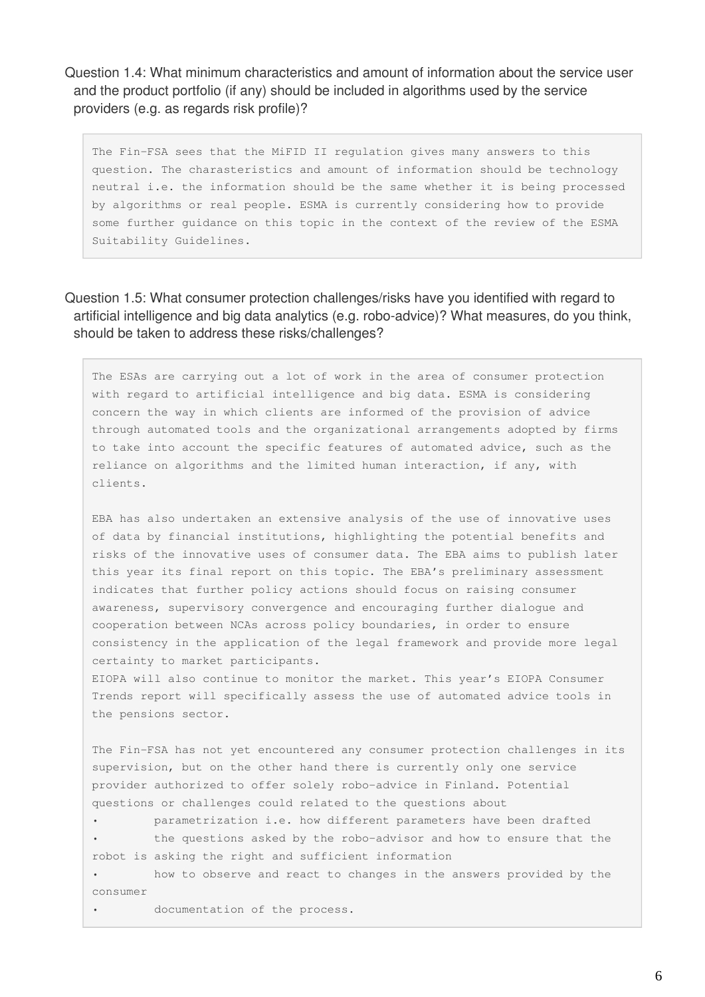Question 1.4: What minimum characteristics and amount of information about the service user and the product portfolio (if any) should be included in algorithms used by the service providers (e.g. as regards risk profile)?

The Fin-FSA sees that the MiFID II regulation gives many answers to this question. The charasteristics and amount of information should be technology neutral i.e. the information should be the same whether it is being processed by algorithms or real people. ESMA is currently considering how to provide some further guidance on this topic in the context of the review of the ESMA Suitability Guidelines.

Question 1.5: What consumer protection challenges/risks have you identified with regard to artificial intelligence and big data analytics (e.g. robo-advice)? What measures, do you think, should be taken to address these risks/challenges?

The ESAs are carrying out a lot of work in the area of consumer protection with regard to artificial intelligence and big data. ESMA is considering concern the way in which clients are informed of the provision of advice through automated tools and the organizational arrangements adopted by firms to take into account the specific features of automated advice, such as the reliance on algorithms and the limited human interaction, if any, with clients.

EBA has also undertaken an extensive analysis of the use of innovative uses of data by financial institutions, highlighting the potential benefits and risks of the innovative uses of consumer data. The EBA aims to publish later this year its final report on this topic. The EBA's preliminary assessment indicates that further policy actions should focus on raising consumer awareness, supervisory convergence and encouraging further dialogue and cooperation between NCAs across policy boundaries, in order to ensure consistency in the application of the legal framework and provide more legal certainty to market participants.

EIOPA will also continue to monitor the market. This year's EIOPA Consumer Trends report will specifically assess the use of automated advice tools in the pensions sector.

The Fin-FSA has not yet encountered any consumer protection challenges in its supervision, but on the other hand there is currently only one service provider authorized to offer solely robo-advice in Finland. Potential questions or challenges could related to the questions about

• parametrization i.e. how different parameters have been drafted the questions asked by the robo-advisor and how to ensure that the robot is asking the right and sufficient information

• how to observe and react to changes in the answers provided by the consumer

• documentation of the process.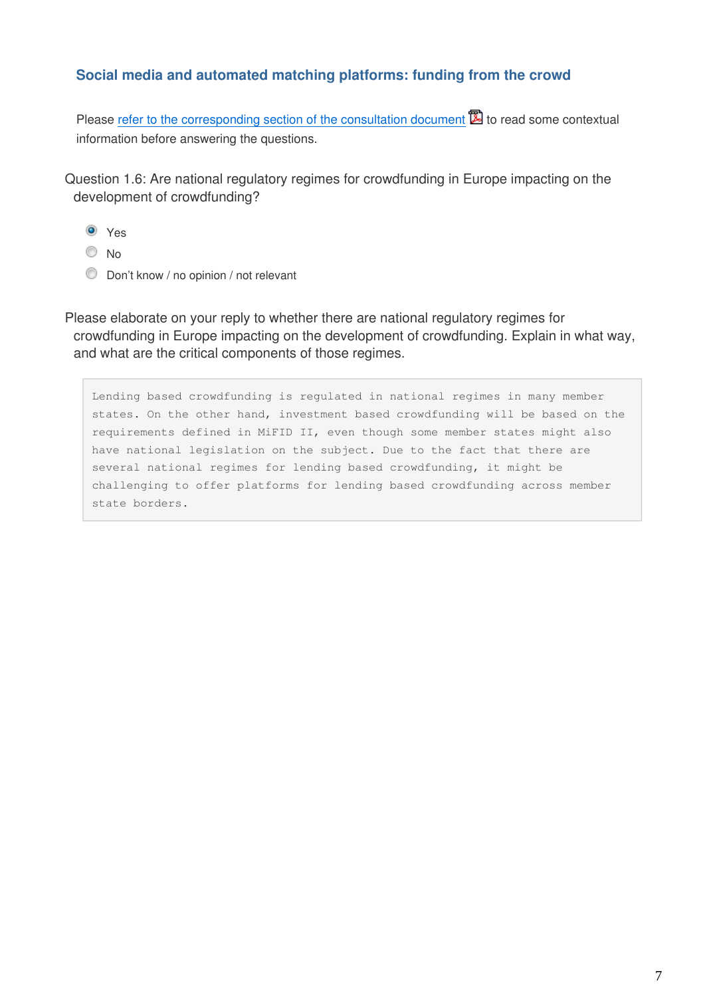### **Social media and automated matching platforms: funding from the crowd**

Please [refer to the corresponding section of the consultation document](https://ec.europa.eu/info/sites/info/files/2017-fintech-consultation-document_en.pdf#social-media)  $\mathbb{Z}$  to read some contextual information before answering the questions.

Question 1.6: Are national regulatory regimes for crowdfunding in Europe impacting on the development of crowdfunding?

- **O** Yes
- © No
- **Don't know / no opinion / not relevant**

Please elaborate on your reply to whether there are national regulatory regimes for crowdfunding in Europe impacting on the development of crowdfunding. Explain in what way, and what are the critical components of those regimes.

Lending based crowdfunding is regulated in national regimes in many member states. On the other hand, investment based crowdfunding will be based on the requirements defined in MiFID II, even though some member states might also have national legislation on the subject. Due to the fact that there are several national regimes for lending based crowdfunding, it might be challenging to offer platforms for lending based crowdfunding across member state borders.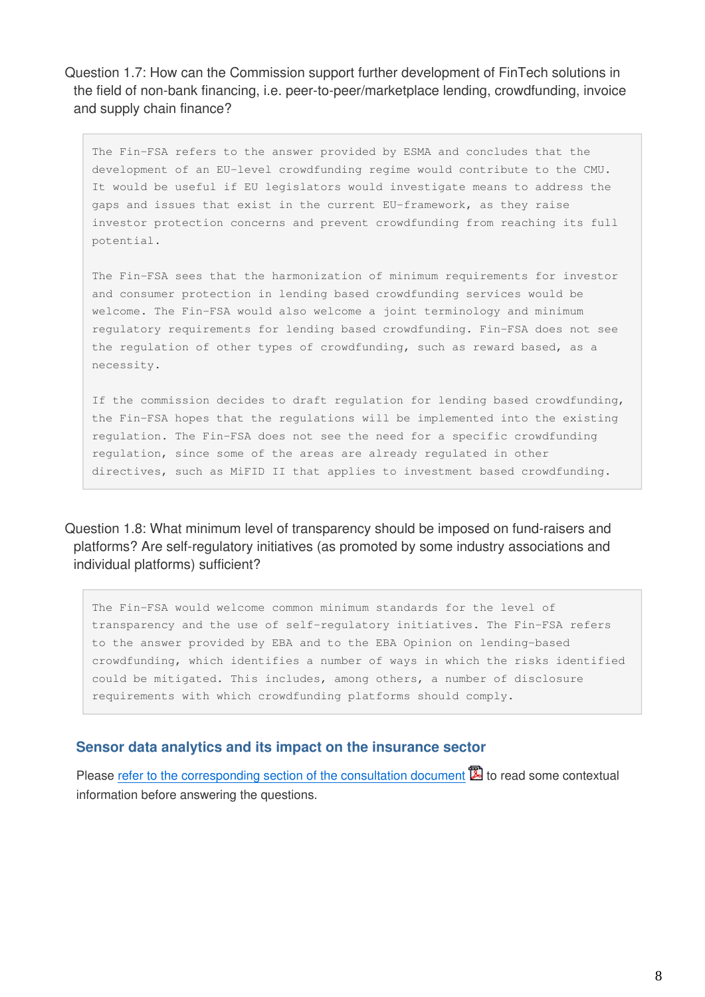Question 1.7: How can the Commission support further development of FinTech solutions in the field of non-bank financing, i.e. peer-to-peer/marketplace lending, crowdfunding, invoice and supply chain finance?

The Fin-FSA refers to the answer provided by ESMA and concludes that the development of an EU-level crowdfunding regime would contribute to the CMU. It would be useful if EU legislators would investigate means to address the gaps and issues that exist in the current EU-framework, as they raise investor protection concerns and prevent crowdfunding from reaching its full potential.

The Fin-FSA sees that the harmonization of minimum requirements for investor and consumer protection in lending based crowdfunding services would be welcome. The Fin-FSA would also welcome a joint terminology and minimum regulatory requirements for lending based crowdfunding. Fin-FSA does not see the regulation of other types of crowdfunding, such as reward based, as a necessity.

If the commission decides to draft regulation for lending based crowdfunding, the Fin-FSA hopes that the regulations will be implemented into the existing regulation. The Fin-FSA does not see the need for a specific crowdfunding regulation, since some of the areas are already regulated in other directives, such as MiFID II that applies to investment based crowdfunding.

Question 1.8: What minimum level of transparency should be imposed on fund-raisers and platforms? Are self-regulatory initiatives (as promoted by some industry associations and individual platforms) sufficient?

The Fin-FSA would welcome common minimum standards for the level of transparency and the use of self-regulatory initiatives. The Fin-FSA refers to the answer provided by EBA and to the EBA Opinion on lending-based crowdfunding, which identifies a number of ways in which the risks identified could be mitigated. This includes, among others, a number of disclosure requirements with which crowdfunding platforms should comply.

#### **Sensor data analytics and its impact on the insurance sector**

Please [refer to the corresponding section of the consultation document](https://ec.europa.eu/info/sites/info/files/2017-fintech-consultation-document_en.pdf#sensor)  $\mathbb{Z}$  to read some contextual information before answering the questions.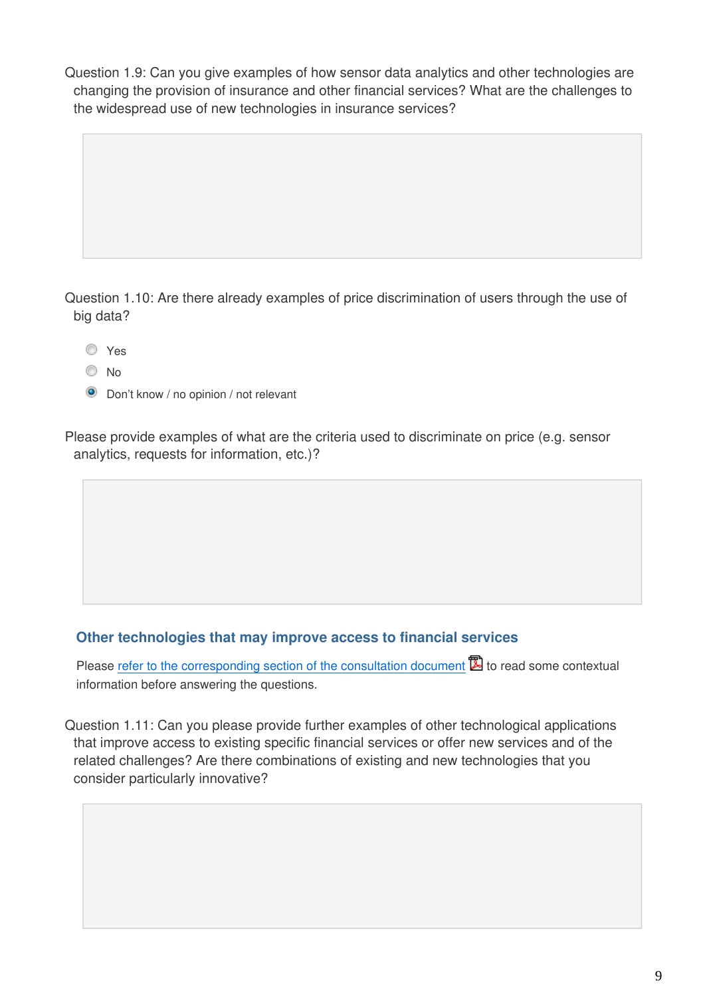Question 1.9: Can you give examples of how sensor data analytics and other technologies are changing the provision of insurance and other financial services? What are the challenges to the widespread use of new technologies in insurance services?

Question 1.10: Are there already examples of price discrimination of users through the use of big data?

Yes

- $\odot$  No
- **O** Don't know / no opinion / not relevant

Please provide examples of what are the criteria used to discriminate on price (e.g. sensor analytics, requests for information, etc.)?

#### **Other technologies that may improve access to financial services**

Please [refer to the corresponding section of the consultation document](https://ec.europa.eu/info/sites/info/files/2017-fintech-consultation-document_en.pdf#technologies) **to** to read some contextual information before answering the questions.

Question 1.11: Can you please provide further examples of other technological applications that improve access to existing specific financial services or offer new services and of the related challenges? Are there combinations of existing and new technologies that you consider particularly innovative?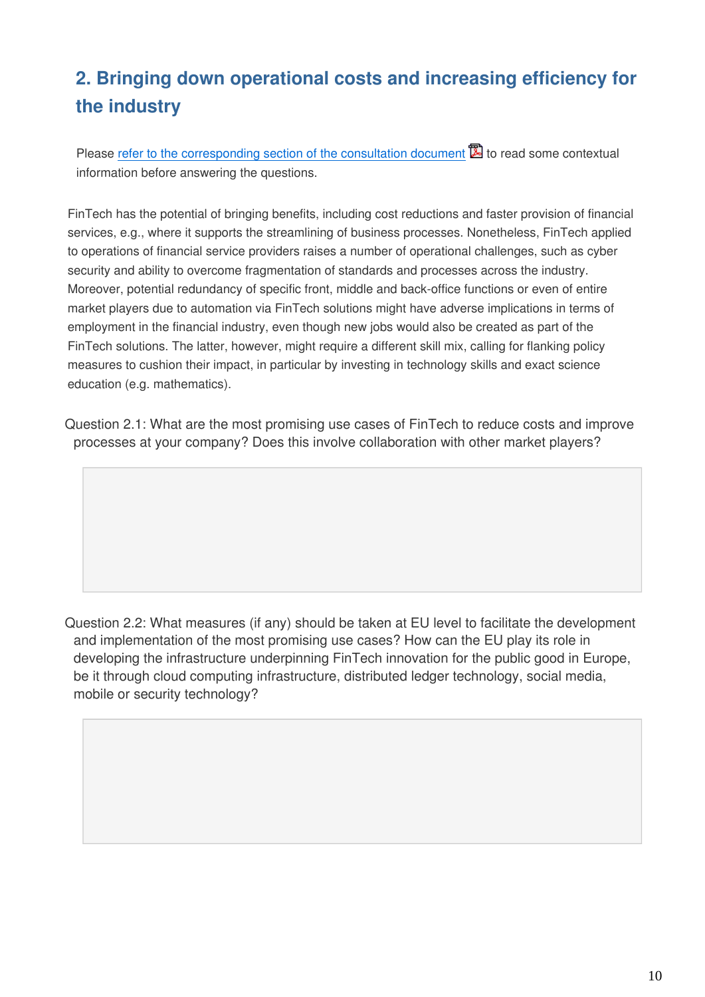## **2. Bringing down operational costs and increasing efficiency for the industry**

Please [refer to the corresponding section of the consultation document](https://ec.europa.eu/info/sites/info/files/2017-fintech-consultation-document_en.pdf#bringing-down) **to** to read some contextual information before answering the questions.

FinTech has the potential of bringing benefits, including cost reductions and faster provision of financial services, e.g., where it supports the streamlining of business processes. Nonetheless, FinTech applied to operations of financial service providers raises a number of operational challenges, such as cyber security and ability to overcome fragmentation of standards and processes across the industry. Moreover, potential redundancy of specific front, middle and back-office functions or even of entire market players due to automation via FinTech solutions might have adverse implications in terms of employment in the financial industry, even though new jobs would also be created as part of the FinTech solutions. The latter, however, might require a different skill mix, calling for flanking policy measures to cushion their impact, in particular by investing in technology skills and exact science education (e.g. mathematics).

Question 2.1: What are the most promising use cases of FinTech to reduce costs and improve processes at your company? Does this involve collaboration with other market players?

Question 2.2: What measures (if any) should be taken at EU level to facilitate the development and implementation of the most promising use cases? How can the EU play its role in developing the infrastructure underpinning FinTech innovation for the public good in Europe, be it through cloud computing infrastructure, distributed ledger technology, social media, mobile or security technology?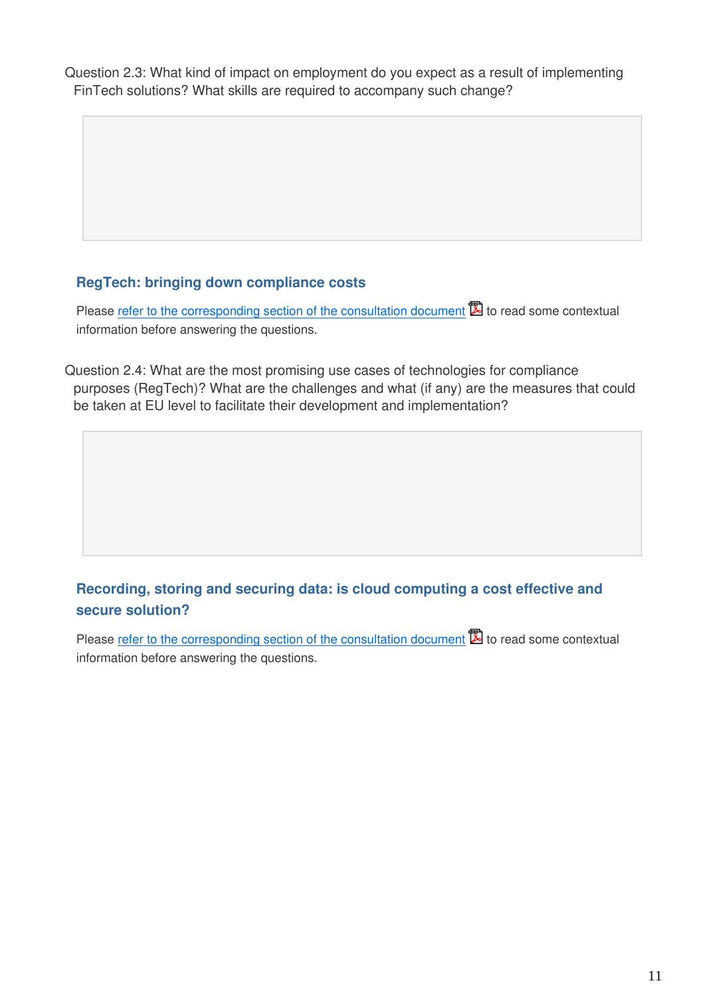Question 2.3: What kind of impact on employment do you expect as a result of implementing FinTech solutions? What skills are required to accompany such change?

## **RegTech: bringing down compliance costs**

Please [refer to the corresponding section of the consultation document](https://ec.europa.eu/info/sites/info/files/2017-fintech-consultation-document_en.pdf#regtech)  $\mathbb{\mathbb{Z}}$  to read some contextual information before answering the questions.

Question 2.4: What are the most promising use cases of technologies for compliance purposes (RegTech)? What are the challenges and what (if any) are the measures that could be taken at EU level to facilitate their development and implementation?

## **Recording, storing and securing data: is cloud computing a cost effective and secure solution?**

Please [refer to the corresponding section of the consultation document](https://ec.europa.eu/info/sites/info/files/2017-fintech-consultation-document_en.pdf#recording) **to** to read some contextual information before answering the questions.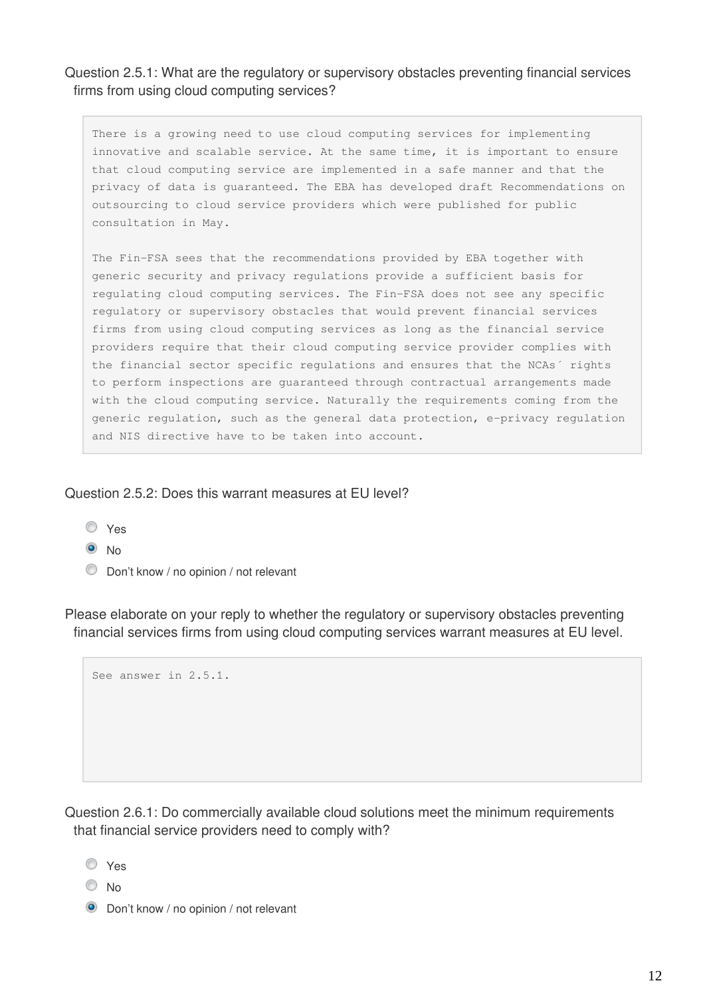#### Question 2.5.1: What are the regulatory or supervisory obstacles preventing financial services firms from using cloud computing services?

There is a growing need to use cloud computing services for implementing innovative and scalable service. At the same time, it is important to ensure that cloud computing service are implemented in a safe manner and that the privacy of data is guaranteed. The EBA has developed draft Recommendations on outsourcing to cloud service providers which were published for public consultation in May.

The Fin-FSA sees that the recommendations provided by EBA together with generic security and privacy regulations provide a sufficient basis for regulating cloud computing services. The Fin-FSA does not see any specific regulatory or supervisory obstacles that would prevent financial services firms from using cloud computing services as long as the financial service providers require that their cloud computing service provider complies with the financial sector specific regulations and ensures that the NCAs´ rights to perform inspections are guaranteed through contractual arrangements made with the cloud computing service. Naturally the requirements coming from the generic regulation, such as the general data protection, e-privacy regulation and NIS directive have to be taken into account.

#### Question 2.5.2: Does this warrant measures at EU level?

- Yes
- $\odot$  No
- Don't know / no opinion / not relevant

Please elaborate on your reply to whether the regulatory or supervisory obstacles preventing financial services firms from using cloud computing services warrant measures at EU level.

See answer in 2.5.1.

Question 2.6.1: Do commercially available cloud solutions meet the minimum requirements that financial service providers need to comply with?

- Yes
- C No
- **O** Don't know / no opinion / not relevant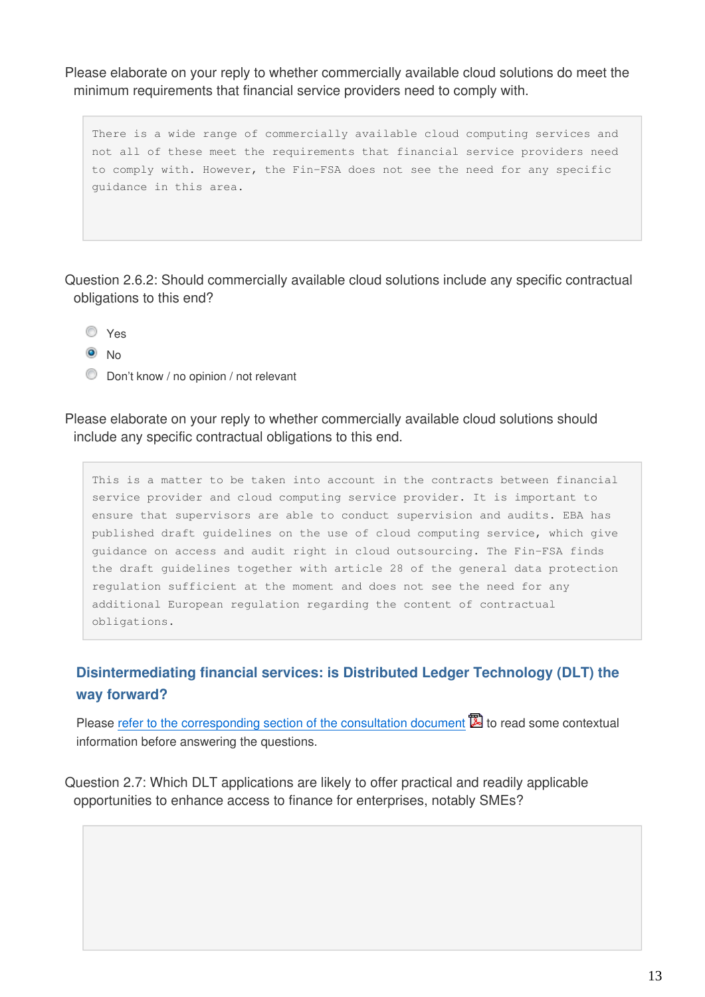Please elaborate on your reply to whether commercially available cloud solutions do meet the minimum requirements that financial service providers need to comply with.

There is a wide range of commercially available cloud computing services and not all of these meet the requirements that financial service providers need to comply with. However, the Fin-FSA does not see the need for any specific guidance in this area.

Question 2.6.2: Should commercially available cloud solutions include any specific contractual obligations to this end?

- Yes
- <sup>O</sup>No
- Don't know / no opinion / not relevant

Please elaborate on your reply to whether commercially available cloud solutions should include any specific contractual obligations to this end.

This is a matter to be taken into account in the contracts between financial service provider and cloud computing service provider. It is important to ensure that supervisors are able to conduct supervision and audits. EBA has published draft guidelines on the use of cloud computing service, which give guidance on access and audit right in cloud outsourcing. The Fin-FSA finds the draft guidelines together with article 28 of the general data protection regulation sufficient at the moment and does not see the need for any additional European regulation regarding the content of contractual obligations.

## **Disintermediating financial services: is Distributed Ledger Technology (DLT) the way forward?**

Please [refer to the corresponding section of the consultation document](https://ec.europa.eu/info/sites/info/files/2017-fintech-consultation-document_en.pdf#disintermediating)  $\mathbb{Z}$  to read some contextual information before answering the questions.

Question 2.7: Which DLT applications are likely to offer practical and readily applicable opportunities to enhance access to finance for enterprises, notably SMEs?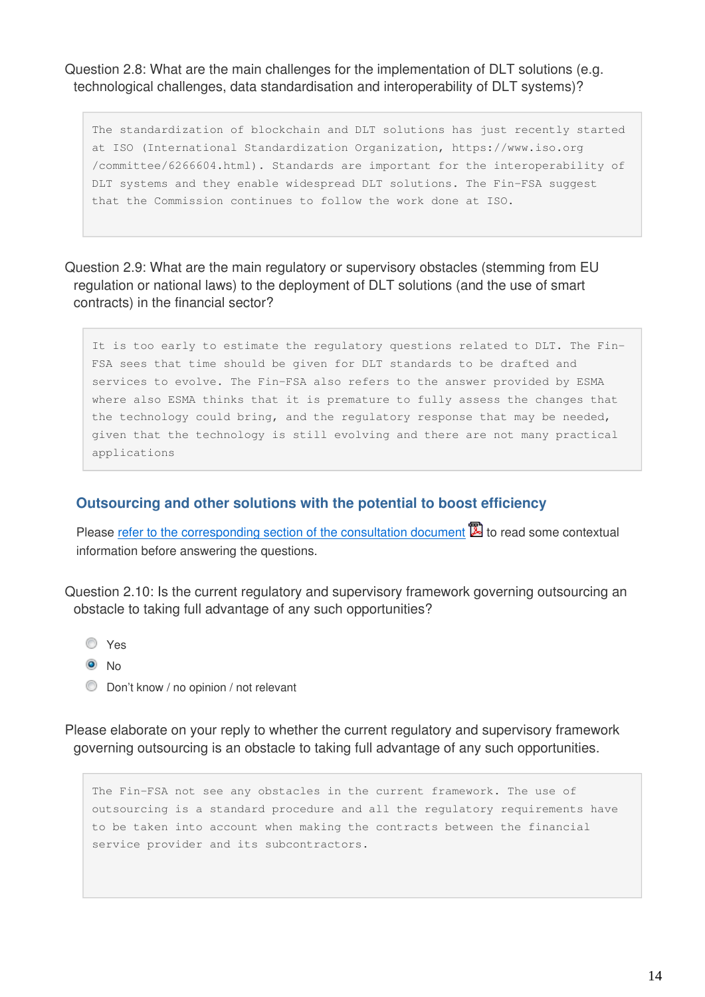Question 2.8: What are the main challenges for the implementation of DLT solutions (e.g. technological challenges, data standardisation and interoperability of DLT systems)?

The standardization of blockchain and DLT solutions has just recently started at ISO (International Standardization Organization, https://www.iso.org /committee/6266604.html). Standards are important for the interoperability of DLT systems and they enable widespread DLT solutions. The Fin-FSA suggest that the Commission continues to follow the work done at ISO.

Question 2.9: What are the main regulatory or supervisory obstacles (stemming from EU regulation or national laws) to the deployment of DLT solutions (and the use of smart contracts) in the financial sector?

It is too early to estimate the regulatory questions related to DLT. The Fin-FSA sees that time should be given for DLT standards to be drafted and services to evolve. The Fin-FSA also refers to the answer provided by ESMA where also ESMA thinks that it is premature to fully assess the changes that the technology could bring, and the regulatory response that may be needed, given that the technology is still evolving and there are not many practical applications

#### **Outsourcing and other solutions with the potential to boost efficiency**

Please [refer to the corresponding section of the consultation document](https://ec.europa.eu/info/sites/info/files/2017-fintech-consultation-document_en.pdf#outsourcing)  $\mathbb{\Sigma}$  to read some contextual information before answering the questions.

Question 2.10: Is the current regulatory and supervisory framework governing outsourcing an obstacle to taking full advantage of any such opportunities?

- Yes
- $\odot$  No
- **Don't know / no opinion / not relevant**

Please elaborate on your reply to whether the current regulatory and supervisory framework governing outsourcing is an obstacle to taking full advantage of any such opportunities.

The Fin-FSA not see any obstacles in the current framework. The use of outsourcing is a standard procedure and all the regulatory requirements have to be taken into account when making the contracts between the financial service provider and its subcontractors.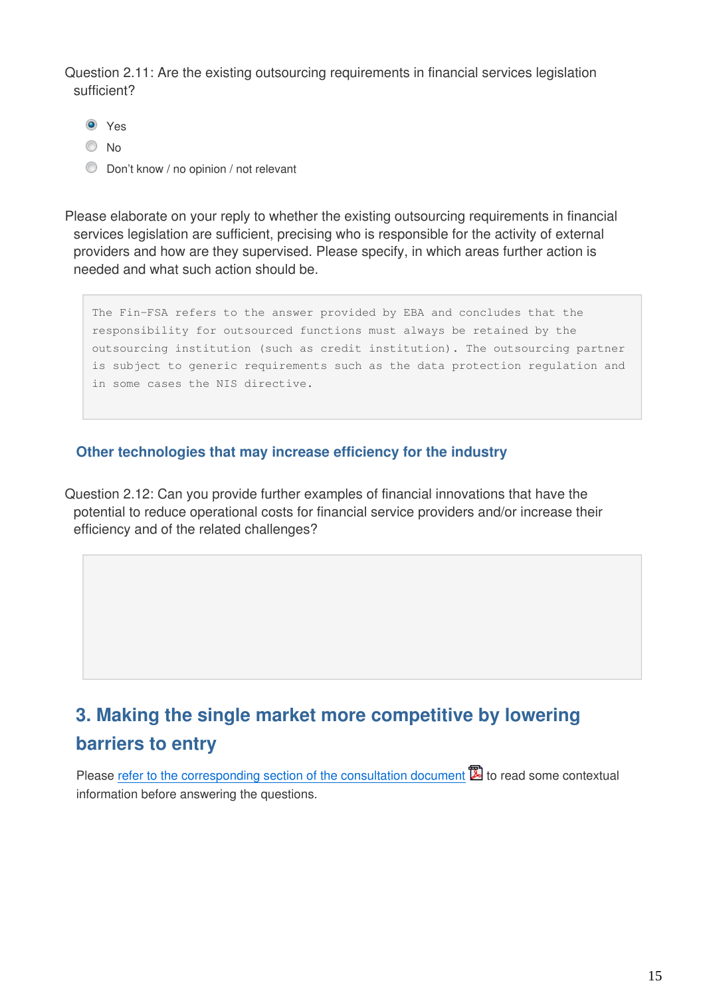Question 2.11: Are the existing outsourcing requirements in financial services legislation sufficient?

- <sup>O</sup> Yes
- C No
- **Don't know / no opinion / not relevant**

Please elaborate on your reply to whether the existing outsourcing requirements in financial services legislation are sufficient, precising who is responsible for the activity of external providers and how are they supervised. Please specify, in which areas further action is needed and what such action should be.

The Fin-FSA refers to the answer provided by EBA and concludes that the responsibility for outsourced functions must always be retained by the outsourcing institution (such as credit institution). The outsourcing partner is subject to generic requirements such as the data protection regulation and in some cases the NIS directive.

### **Other technologies that may increase efficiency for the industry**

Question 2.12: Can you provide further examples of financial innovations that have the potential to reduce operational costs for financial service providers and/or increase their efficiency and of the related challenges?

## **3. Making the single market more competitive by lowering barriers to entry**

Please [refer to the corresponding section of the consultation document](https://ec.europa.eu/info/sites/info/files/2017-fintech-consultation-document_en.pdf#competitive)  $\mathbb{Z}$  to read some contextual information before answering the questions.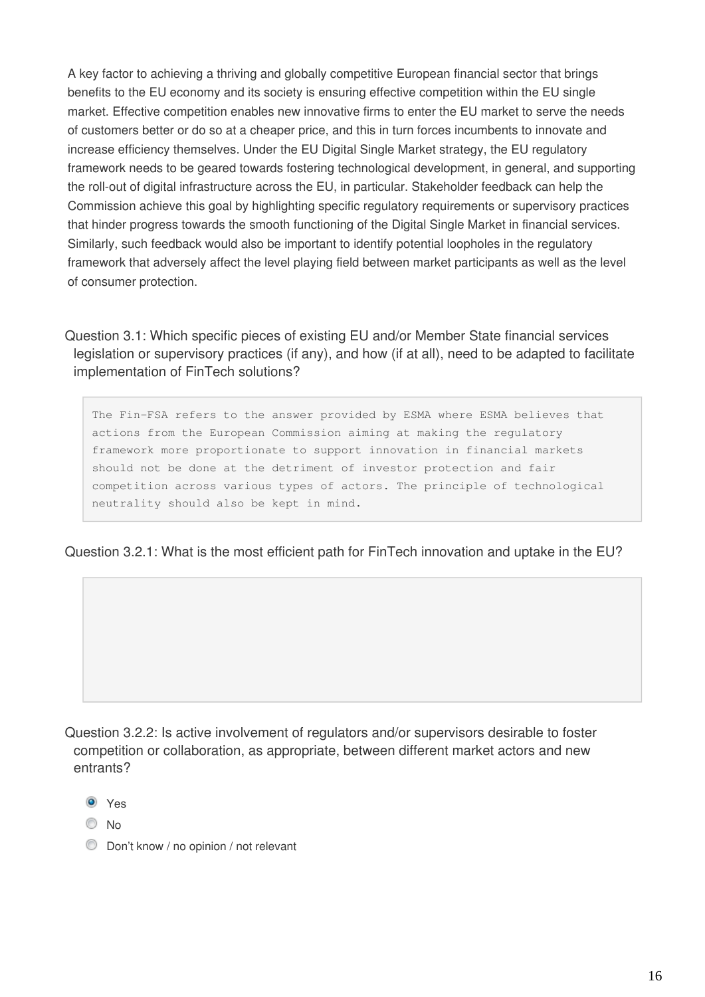A key factor to achieving a thriving and globally competitive European financial sector that brings benefits to the EU economy and its society is ensuring effective competition within the EU single market. Effective competition enables new innovative firms to enter the EU market to serve the needs of customers better or do so at a cheaper price, and this in turn forces incumbents to innovate and increase efficiency themselves. Under the EU Digital Single Market strategy, the EU regulatory framework needs to be geared towards fostering technological development, in general, and supporting the roll-out of digital infrastructure across the EU, in particular. Stakeholder feedback can help the Commission achieve this goal by highlighting specific regulatory requirements or supervisory practices that hinder progress towards the smooth functioning of the Digital Single Market in financial services. Similarly, such feedback would also be important to identify potential loopholes in the regulatory framework that adversely affect the level playing field between market participants as well as the level of consumer protection.

Question 3.1: Which specific pieces of existing EU and/or Member State financial services legislation or supervisory practices (if any), and how (if at all), need to be adapted to facilitate implementation of FinTech solutions?

The Fin-FSA refers to the answer provided by ESMA where ESMA believes that actions from the European Commission aiming at making the regulatory framework more proportionate to support innovation in financial markets should not be done at the detriment of investor protection and fair competition across various types of actors. The principle of technological neutrality should also be kept in mind.

Question 3.2.1: What is the most efficient path for FinTech innovation and uptake in the EU?

Question 3.2.2: Is active involvement of regulators and/or supervisors desirable to foster competition or collaboration, as appropriate, between different market actors and new entrants?

- <sup>O</sup> Yes
- $\odot$  No
- **Don't know / no opinion / not relevant**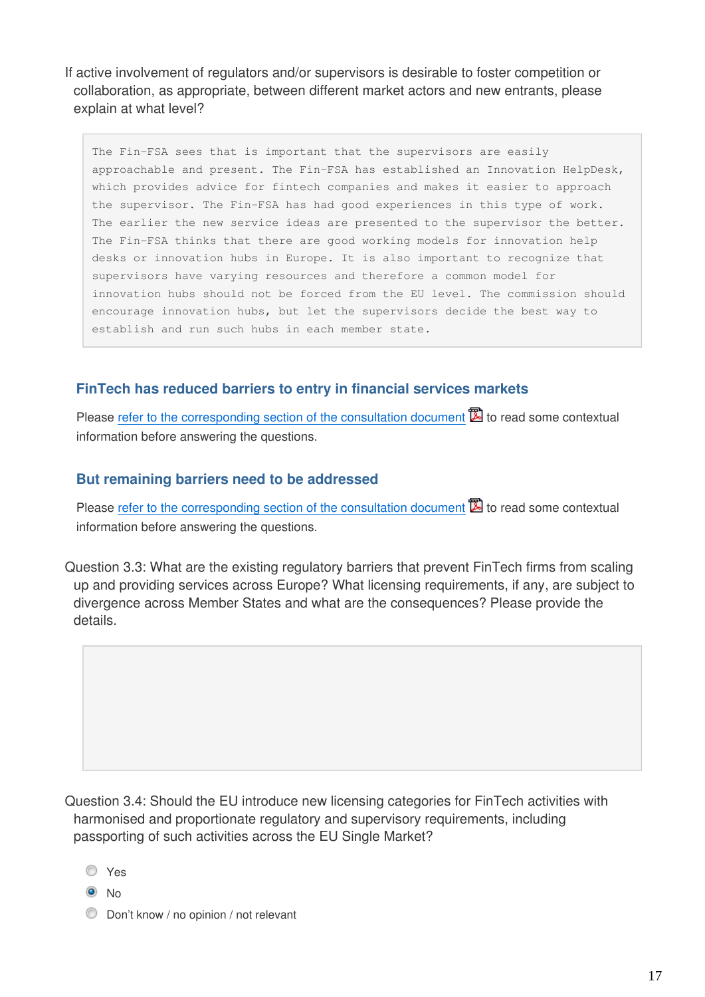If active involvement of regulators and/or supervisors is desirable to foster competition or collaboration, as appropriate, between different market actors and new entrants, please explain at what level?

The Fin-FSA sees that is important that the supervisors are easily approachable and present. The Fin-FSA has established an Innovation HelpDesk, which provides advice for fintech companies and makes it easier to approach the supervisor. The Fin-FSA has had good experiences in this type of work. The earlier the new service ideas are presented to the supervisor the better. The Fin-FSA thinks that there are good working models for innovation help desks or innovation hubs in Europe. It is also important to recognize that supervisors have varying resources and therefore a common model for innovation hubs should not be forced from the EU level. The commission should encourage innovation hubs, but let the supervisors decide the best way to establish and run such hubs in each member state.

#### **FinTech has reduced barriers to entry in financial services markets**

Please [refer to the corresponding section of the consultation document](https://ec.europa.eu/info/sites/info/files/2017-fintech-consultation-document_en.pdf#reduced-barriers)  $\mathbb{\Sigma}$  to read some contextual information before answering the questions.

#### **But remaining barriers need to be addressed**

Please [refer to the corresponding section of the consultation document](https://ec.europa.eu/info/sites/info/files/2017-fintech-consultation-document_en.pdf#remaining-barriers)  $\Xi$  to read some contextual information before answering the questions.

Question 3.3: What are the existing regulatory barriers that prevent FinTech firms from scaling up and providing services across Europe? What licensing requirements, if any, are subject to divergence across Member States and what are the consequences? Please provide the details.

Question 3.4: Should the EU introduce new licensing categories for FinTech activities with harmonised and proportionate regulatory and supervisory requirements, including passporting of such activities across the EU Single Market?

Yes

 $\bullet$  No

**Don't know / no opinion / not relevant**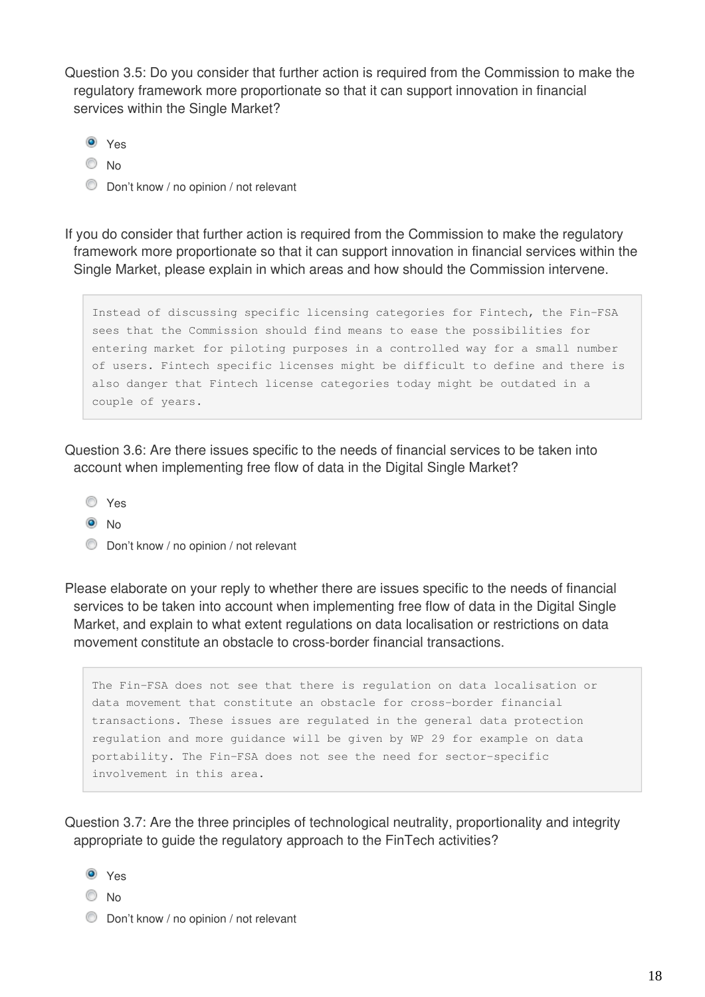Question 3.5: Do you consider that further action is required from the Commission to make the regulatory framework more proportionate so that it can support innovation in financial services within the Single Market?

- <sup>O</sup> Yes
- $\odot$  No
- **Don't know / no opinion / not relevant**

If you do consider that further action is required from the Commission to make the regulatory framework more proportionate so that it can support innovation in financial services within the Single Market, please explain in which areas and how should the Commission intervene.

Instead of discussing specific licensing categories for Fintech, the Fin-FSA sees that the Commission should find means to ease the possibilities for entering market for piloting purposes in a controlled way for a small number of users. Fintech specific licenses might be difficult to define and there is also danger that Fintech license categories today might be outdated in a couple of years.

Question 3.6: Are there issues specific to the needs of financial services to be taken into account when implementing free flow of data in the Digital Single Market?

- Yes
- <sup>O</sup>No
- **Don't know / no opinion / not relevant**

Please elaborate on your reply to whether there are issues specific to the needs of financial services to be taken into account when implementing free flow of data in the Digital Single Market, and explain to what extent regulations on data localisation or restrictions on data movement constitute an obstacle to cross-border financial transactions.

The Fin-FSA does not see that there is regulation on data localisation or data movement that constitute an obstacle for cross-border financial transactions. These issues are regulated in the general data protection regulation and more guidance will be given by WP 29 for example on data portability. The Fin-FSA does not see the need for sector-specific involvement in this area.

Question 3.7: Are the three principles of technological neutrality, proportionality and integrity appropriate to guide the regulatory approach to the FinTech activities?

- <sup>O</sup> Yes
- C No
- **Don't know / no opinion / not relevant**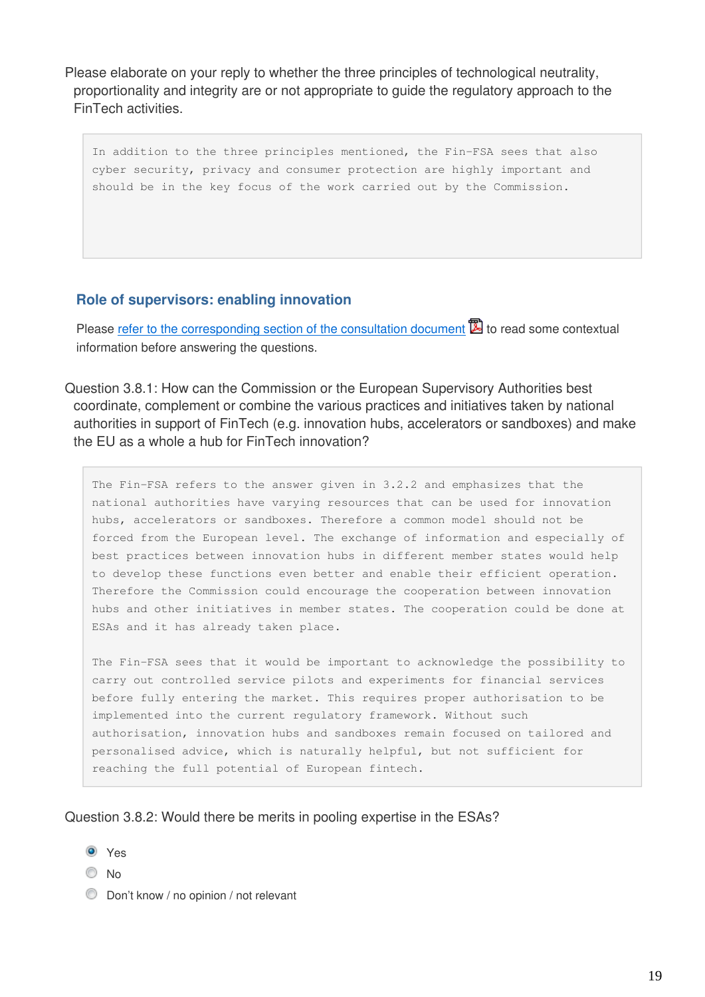Please elaborate on your reply to whether the three principles of technological neutrality, proportionality and integrity are or not appropriate to guide the regulatory approach to the FinTech activities.

In addition to the three principles mentioned, the Fin-FSA sees that also cyber security, privacy and consumer protection are highly important and should be in the key focus of the work carried out by the Commission.

#### **Role of supervisors: enabling innovation**

Please [refer to the corresponding section of the consultation document](https://ec.europa.eu/info/sites/info/files/2017-fintech-consultation-document_en.pdf#supervisors)  $\mathbb{Z}$  to read some contextual information before answering the questions.

#### Question 3.8.1: How can the Commission or the European Supervisory Authorities best coordinate, complement or combine the various practices and initiatives taken by national authorities in support of FinTech (e.g. innovation hubs, accelerators or sandboxes) and make the EU as a whole a hub for FinTech innovation?

The Fin-FSA refers to the answer given in 3.2.2 and emphasizes that the national authorities have varying resources that can be used for innovation hubs, accelerators or sandboxes. Therefore a common model should not be forced from the European level. The exchange of information and especially of best practices between innovation hubs in different member states would help to develop these functions even better and enable their efficient operation. Therefore the Commission could encourage the cooperation between innovation hubs and other initiatives in member states. The cooperation could be done at ESAs and it has already taken place.

The Fin-FSA sees that it would be important to acknowledge the possibility to carry out controlled service pilots and experiments for financial services before fully entering the market. This requires proper authorisation to be implemented into the current regulatory framework. Without such authorisation, innovation hubs and sandboxes remain focused on tailored and personalised advice, which is naturally helpful, but not sufficient for reaching the full potential of European fintech.

#### Question 3.8.2: Would there be merits in pooling expertise in the ESAs?

- **O** Yes
- © No
- **Don't know / no opinion / not relevant**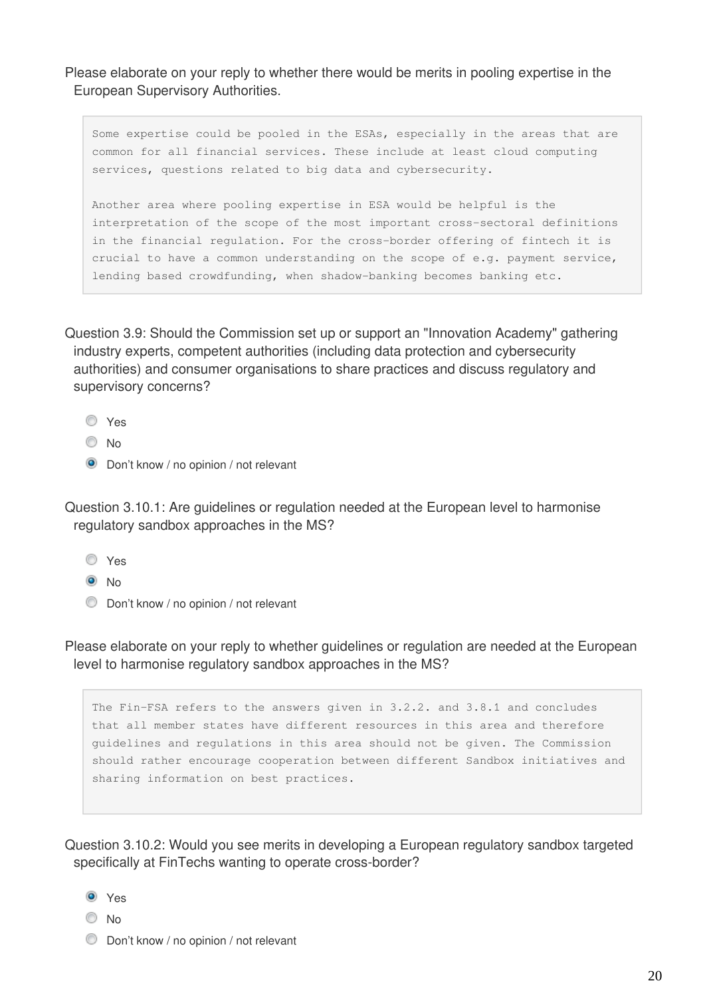Please elaborate on your reply to whether there would be merits in pooling expertise in the European Supervisory Authorities.

Some expertise could be pooled in the ESAs, especially in the areas that are common for all financial services. These include at least cloud computing services, questions related to big data and cybersecurity.

Another area where pooling expertise in ESA would be helpful is the interpretation of the scope of the most important cross-sectoral definitions in the financial regulation. For the cross-border offering of fintech it is crucial to have a common understanding on the scope of e.g. payment service, lending based crowdfunding, when shadow-banking becomes banking etc.

Question 3.9: Should the Commission set up or support an "Innovation Academy" gathering industry experts, competent authorities (including data protection and cybersecurity authorities) and consumer organisations to share practices and discuss regulatory and supervisory concerns?

- Yes
- O No
- **O** Don't know / no opinion / not relevant

Question 3.10.1: Are guidelines or regulation needed at the European level to harmonise regulatory sandbox approaches in the MS?

- Yes
- $\odot$  No
- **Don't know / no opinion / not relevant**

Please elaborate on your reply to whether guidelines or regulation are needed at the European level to harmonise regulatory sandbox approaches in the MS?

The Fin-FSA refers to the answers given in 3.2.2. and 3.8.1 and concludes that all member states have different resources in this area and therefore guidelines and regulations in this area should not be given. The Commission should rather encourage cooperation between different Sandbox initiatives and sharing information on best practices.

Question 3.10.2: Would you see merits in developing a European regulatory sandbox targeted specifically at FinTechs wanting to operate cross-border?

- <sup>O</sup> Yes
- No
- **Don't know / no opinion / not relevant**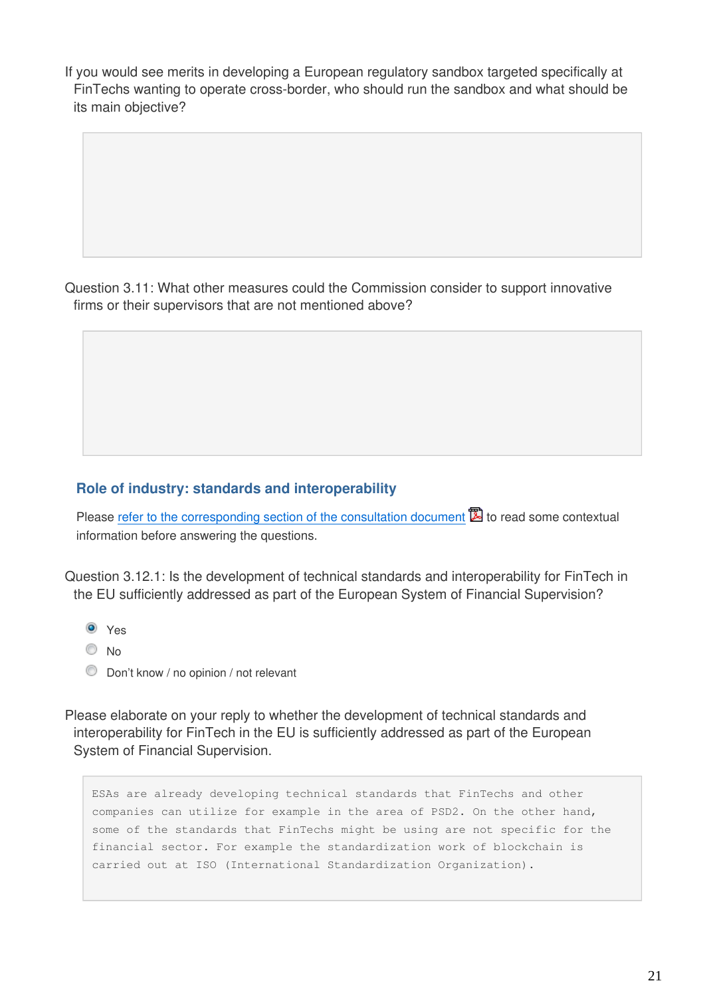If you would see merits in developing a European regulatory sandbox targeted specifically at FinTechs wanting to operate cross-border, who should run the sandbox and what should be its main objective?

Question 3.11: What other measures could the Commission consider to support innovative firms or their supervisors that are not mentioned above?

#### **Role of industry: standards and interoperability**

Please [refer to the corresponding section of the consultation document](https://ec.europa.eu/info/sites/info/files/2017-fintech-consultation-document_en.pdf#industry)  $\mathbb{Z}$  to read some contextual information before answering the questions.

Question 3.12.1: Is the development of technical standards and interoperability for FinTech in the EU sufficiently addressed as part of the European System of Financial Supervision?

- <sup>O</sup> Yes
- $\odot$  No
- **Don't know / no opinion / not relevant**

Please elaborate on your reply to whether the development of technical standards and interoperability for FinTech in the EU is sufficiently addressed as part of the European System of Financial Supervision.

ESAs are already developing technical standards that FinTechs and other companies can utilize for example in the area of PSD2. On the other hand, some of the standards that FinTechs might be using are not specific for the financial sector. For example the standardization work of blockchain is carried out at ISO (International Standardization Organization).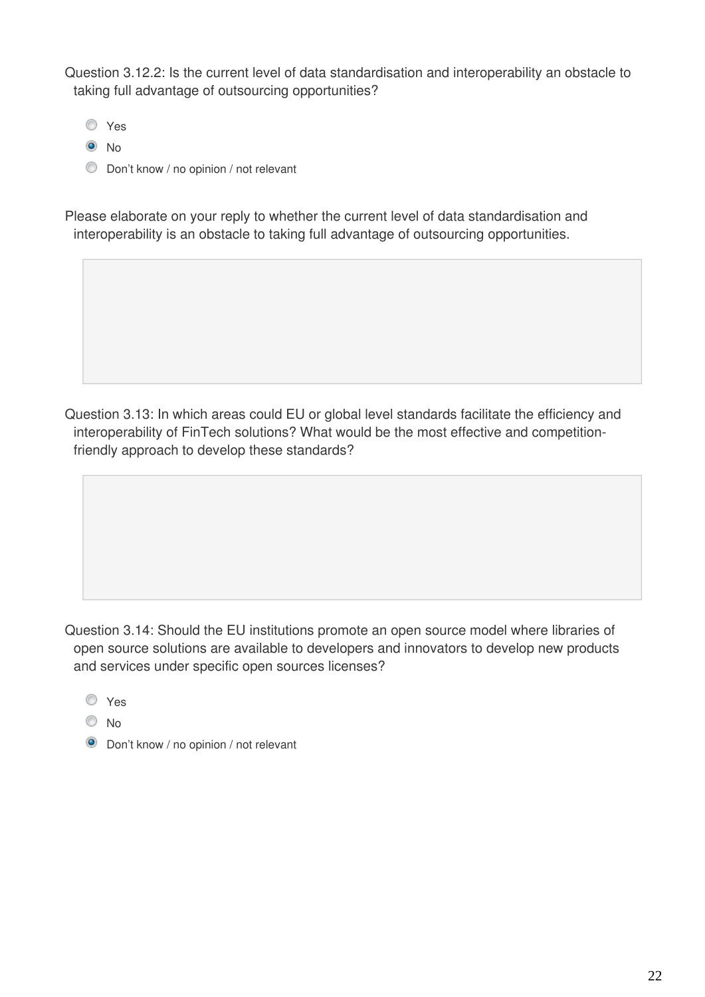Question 3.12.2: Is the current level of data standardisation and interoperability an obstacle to taking full advantage of outsourcing opportunities?

- Yes
- <sup>O</sup>No
- **Don't know / no opinion / not relevant**

Please elaborate on your reply to whether the current level of data standardisation and interoperability is an obstacle to taking full advantage of outsourcing opportunities.

Question 3.13: In which areas could EU or global level standards facilitate the efficiency and interoperability of FinTech solutions? What would be the most effective and competitionfriendly approach to develop these standards?

Question 3.14: Should the EU institutions promote an open source model where libraries of open source solutions are available to developers and innovators to develop new products and services under specific open sources licenses?

Yes

- $\odot$  No
- **O** Don't know / no opinion / not relevant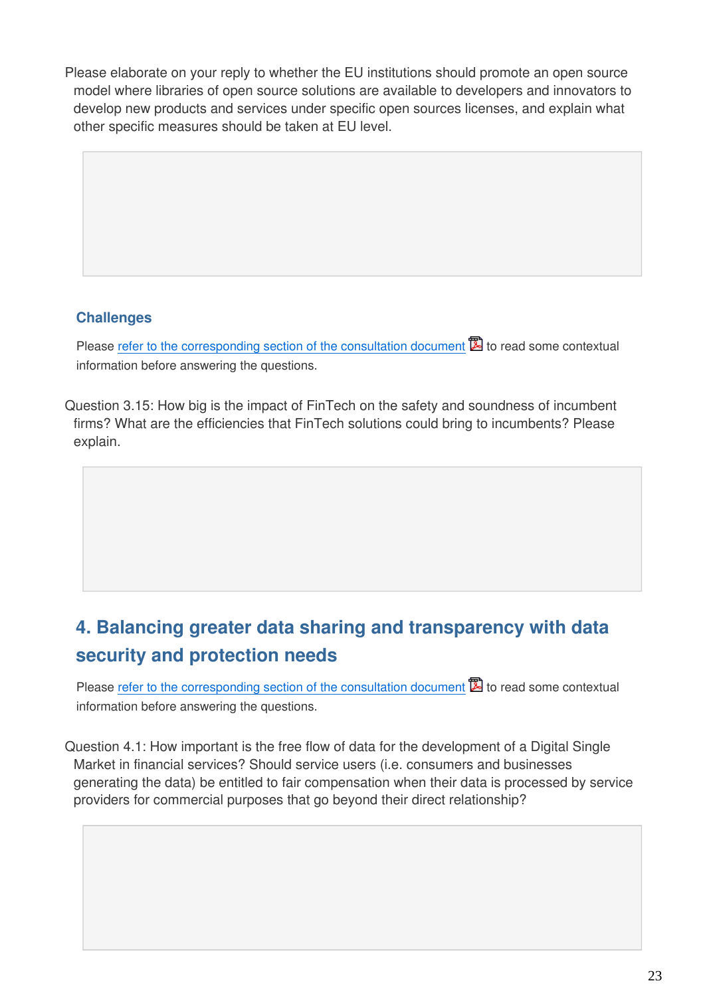Please elaborate on your reply to whether the EU institutions should promote an open source model where libraries of open source solutions are available to developers and innovators to develop new products and services under specific open sources licenses, and explain what other specific measures should be taken at EU level.

### **Challenges**

Please [refer to the corresponding section of the consultation document](https://ec.europa.eu/info/sites/info/files/2017-fintech-consultation-document_en.pdf#challenges)  $\mathbb{\Sigma}$  to read some contextual information before answering the questions.

Question 3.15: How big is the impact of FinTech on the safety and soundness of incumbent firms? What are the efficiencies that FinTech solutions could bring to incumbents? Please explain.

## **4. Balancing greater data sharing and transparency with data security and protection needs**

Please [refer to the corresponding section of the consultation document](https://ec.europa.eu/info/sites/info/files/2017-fintech-consultation-document_en.pdf#balancing)  $\mathbb{Z}$  to read some contextual information before answering the questions.

Question 4.1: How important is the free flow of data for the development of a Digital Single Market in financial services? Should service users (i.e. consumers and businesses generating the data) be entitled to fair compensation when their data is processed by service providers for commercial purposes that go beyond their direct relationship?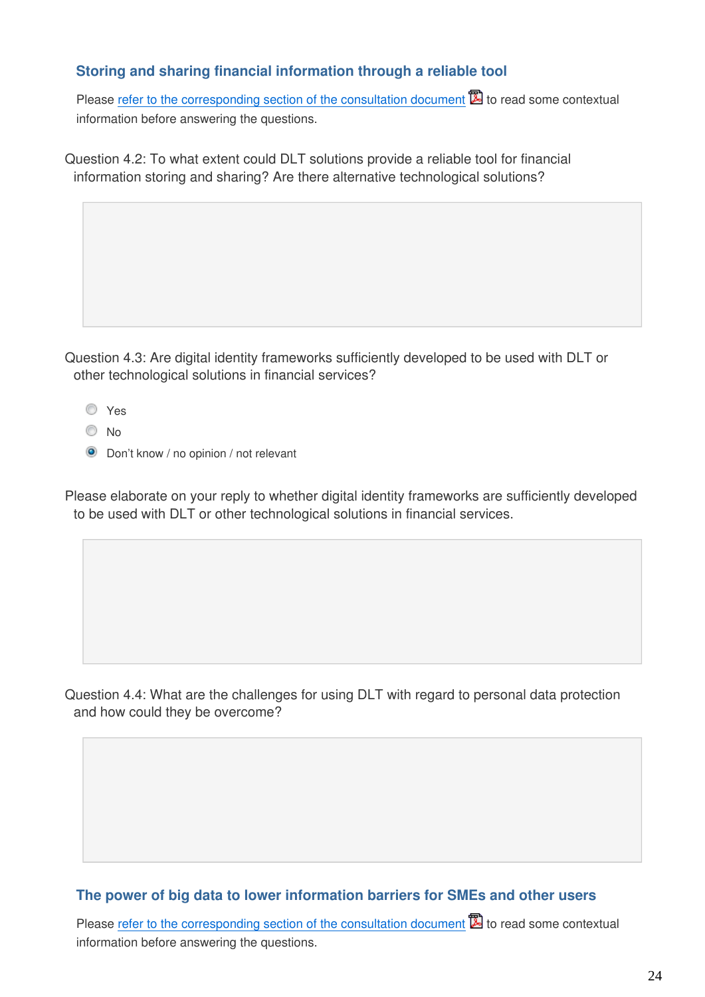#### **Storing and sharing financial information through a reliable tool**

Please [refer to the corresponding section of the consultation document](https://ec.europa.eu/info/sites/info/files/2017-fintech-consultation-document_en.pdf#storing)  $\mathbb{Z}$  to read some contextual information before answering the questions.

Question 4.2: To what extent could DLT solutions provide a reliable tool for financial information storing and sharing? Are there alternative technological solutions?

Question 4.3: Are digital identity frameworks sufficiently developed to be used with DLT or other technological solutions in financial services?

- Yes
- No
- **O** Don't know / no opinion / not relevant

Please elaborate on your reply to whether digital identity frameworks are sufficiently developed to be used with DLT or other technological solutions in financial services.

Question 4.4: What are the challenges for using DLT with regard to personal data protection and how could they be overcome?

#### **The power of big data to lower information barriers for SMEs and other users**

Please [refer to the corresponding section of the consultation document](https://ec.europa.eu/info/sites/info/files/2017-fintech-consultation-document_en.pdf#power)  $\mathbb{Z}$  to read some contextual information before answering the questions.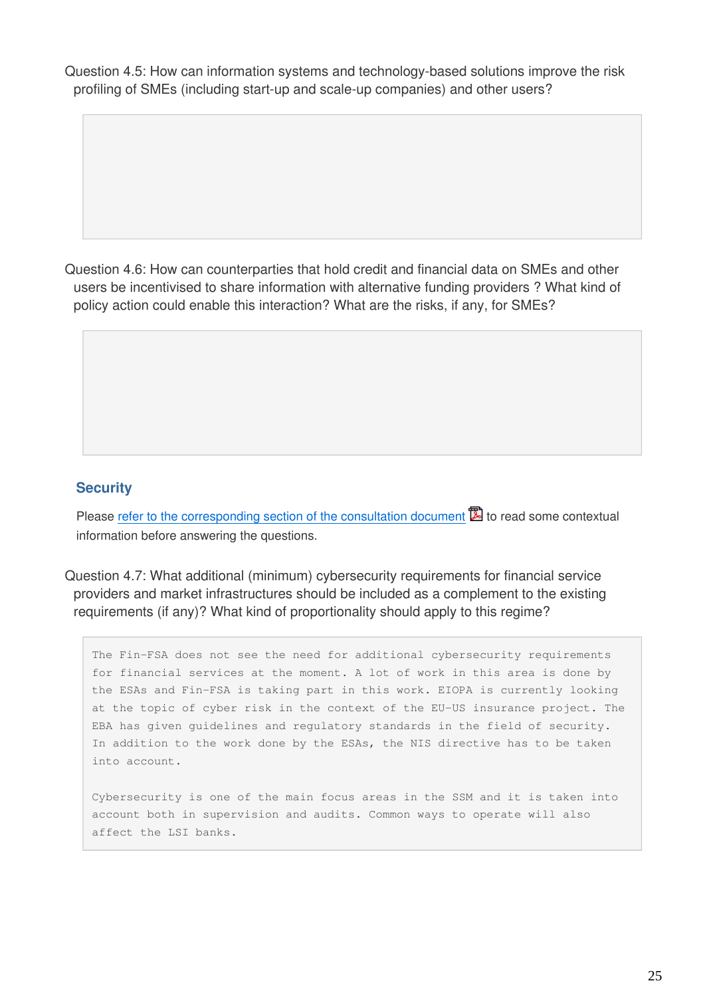Question 4.5: How can information systems and technology-based solutions improve the risk profiling of SMEs (including start-up and scale-up companies) and other users?

Question 4.6: How can counterparties that hold credit and financial data on SMEs and other users be incentivised to share information with alternative funding providers ? What kind of policy action could enable this interaction? What are the risks, if any, for SMEs?

#### **Security**

Please [refer to the corresponding section of the consultation document](https://ec.europa.eu/info/sites/info/files/2017-fintech-consultation-document_en.pdf#security)  $\mathbb{Z}$  to read some contextual information before answering the questions.

Question 4.7: What additional (minimum) cybersecurity requirements for financial service providers and market infrastructures should be included as a complement to the existing requirements (if any)? What kind of proportionality should apply to this regime?

The Fin-FSA does not see the need for additional cybersecurity requirements for financial services at the moment. A lot of work in this area is done by the ESAs and Fin-FSA is taking part in this work. EIOPA is currently looking at the topic of cyber risk in the context of the EU-US insurance project. The EBA has given guidelines and regulatory standards in the field of security. In addition to the work done by the ESAs, the NIS directive has to be taken into account.

Cybersecurity is one of the main focus areas in the SSM and it is taken into account both in supervision and audits. Common ways to operate will also affect the LSI banks.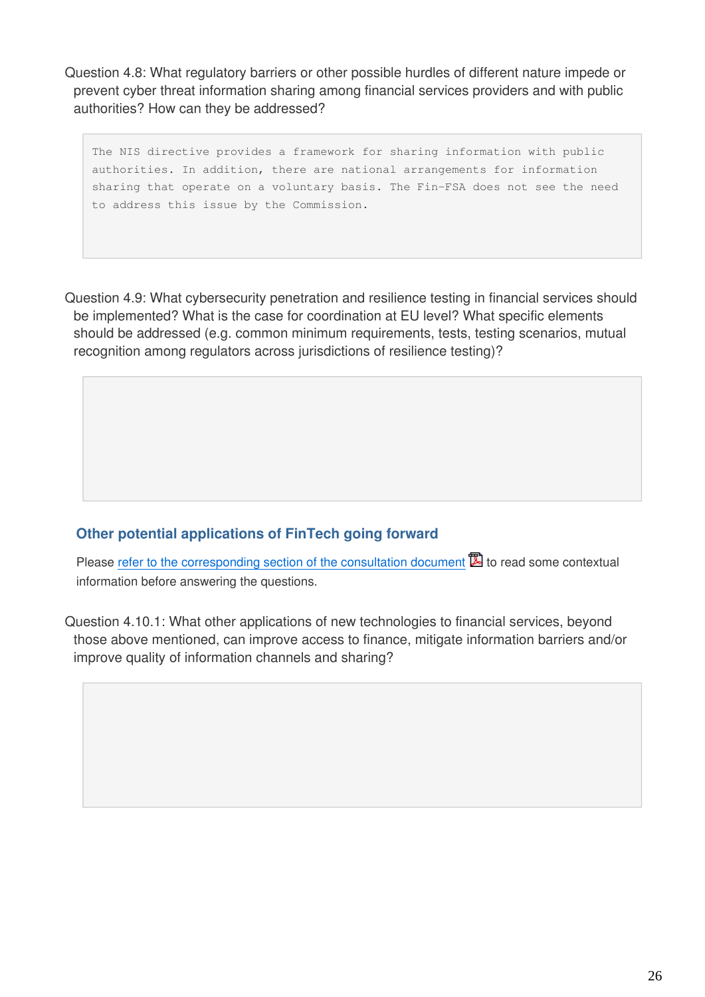Question 4.8: What regulatory barriers or other possible hurdles of different nature impede or prevent cyber threat information sharing among financial services providers and with public authorities? How can they be addressed?

The NIS directive provides a framework for sharing information with public authorities. In addition, there are national arrangements for information sharing that operate on a voluntary basis. The Fin-FSA does not see the need to address this issue by the Commission.

Question 4.9: What cybersecurity penetration and resilience testing in financial services should be implemented? What is the case for coordination at EU level? What specific elements should be addressed (e.g. common minimum requirements, tests, testing scenarios, mutual recognition among regulators across jurisdictions of resilience testing)?

### **Other potential applications of FinTech going forward**

Please [refer to the corresponding section of the consultation document](https://ec.europa.eu/info/sites/info/files/2017-fintech-consultation-document_en.pdf#applications)  $\mathbb{Z}$  to read some contextual information before answering the questions.

Question 4.10.1: What other applications of new technologies to financial services, beyond those above mentioned, can improve access to finance, mitigate information barriers and/or improve quality of information channels and sharing?